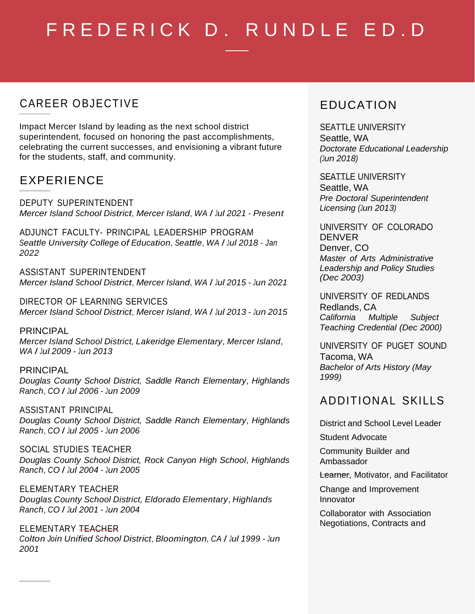# FREDERICK D. RUNDLE ED.D

## CAREER OBJECTIVE

Impact Mercer Island by leading as the next school district superintendent, focused on honoring the past accomplishments, celebrating the current successes, and envisioning a vibrant future for the students, staff, and community.

### EXPERIENCE

DEPUTY SUPERINTENDENT *Mercer Island School District*, *Mercer Island*, *WA* / *Jul 2021* - *Present*

ADJUNCT FACULTY- PRINCIPAL LEADERSHIP PROGRAM *Seattle University College of Education*, *Seattle*, *WA* / *Jul 2018* - *Jan 2022*

ASSISTANT SUPERINTENDENT *Mercer Island School District*, *Mercer Island*, *WA* / *Jul 2015* - *Jun 2021*

DIRECTOR OF LEARNING SERVICES *Mercer Island School District*, *Mercer Island*, *WA* / *Jul 2013* - *Jun 2015*

PRINCIPAL *Mercer Island School District, Lakeridge Elementary*, *Mercer Island*, *WA* / *Jul 2009* - *Jun 2013*

PRINCIPAL *Douglas County School District, Saddle Ranch Elementary*, *Highlands Ranch*, *CO* / *Jul 2006* - *Jun 2009*

ASSISTANT PRINCIPAL *Douglas County School District, Saddle Ranch Elementary*, *Highlands Ranch*, *CO* / *Jul 2005* - *Jun 2006*

SOCIAL STUDIES TEACHER *Douglas County School District, Rock Canyon High School*, *Highlands Ranch*, *CO* / *Jul 2004* - *Jun 2005*

ELEMENTARY TEACHER *Douglas County School District, Eldorado Elementary*, *Highlands Ranch*, *CO* / *Jul 2001* - *Jun 2004*

ELEMENTARY TEACHER *Colton Join Unified School District*, *Bloomington*, *CA* / *Jul 1999* - *Jun 2001*

## EDUCATION

SEATTLE UNIVERSITY Seattle, WA *Doctorate Educational Leadership (Jun 2018)*

SEATTLE UNIVERSITY Seattle, WA *Pre Doctoral Superintendent Licensing (Jun 2013)*

UNIVERSITY OF COLORADO DENVER Denver, CO *Master of Arts Administrative Leadership and Policy Studies (Dec 2003)*

UNIVERSITY OF REDLANDS Redlands, CA *California Multiple Subject Teaching Credential (Dec 2000)* 

UNIVERSITY OF PUGET SOUND Tacoma, WA *Bachelor of Arts History (May 1999)* 

#### ADDITIONAL SKILLS

District and School Level Leader Student Advocate

Community Builder and Ambassador

Learner, Motivator, and Facilitator

Change and Improvement Innovator

Collaborator with Association Negotiations, Contracts and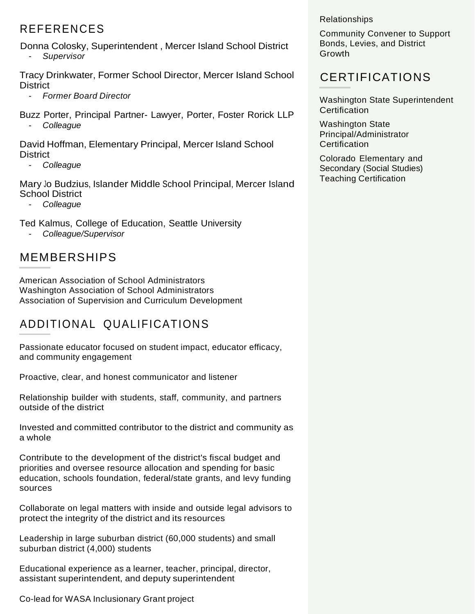## REFERENCES

 Donna Colosky, Superintendent , Mercer Island School District - *Supervisor*

Tracy Drinkwater, Former School Director, Mercer Island School **District** 

- *Former Board Director*
- Buzz Porter, Principal Partner- Lawyer, Porter, Foster Rorick LLP - *Colleague*

David Hoffman, Elementary Principal, Mercer Island School **District** 

- *Colleague*

Mary Jo Budzius, Islander Middle School Principal, Mercer Island School District

- *Colleague*

Ted Kalmus, College of Education, Seattle University

- *Colleague/Supervisor*

#### MEMBERSHIPS

American Association of School Administrators Washington Association of School Administrators Association of Supervision and Curriculum Development

## ADDITIONAL QUALIFICATIONS

Passionate educator focused on student impact, educator efficacy, and community engagement

Proactive, clear, and honest communicator and listener

Relationship builder with students, staff, community, and partners outside of the district

Invested and committed contributor to the district and community as a whole

Contribute to the development of the district's fiscal budget and priorities and oversee resource allocation and spending for basic education, schools foundation, federal/state grants, and levy funding sources

Collaborate on legal matters with inside and outside legal advisors to protect the integrity of the district and its resources

Leadership in large suburban district (60,000 students) and small suburban district (4,000) students

Educational experience as a learner, teacher, principal, director, assistant superintendent, and deputy superintendent

Co-lead for WASA Inclusionary Grant project

Relationships

Community Convener to Support Bonds, Levies, and District **Growth** 

#### CERTIFICATIONS

Washington State Superintendent **Certification** 

Washington State Principal/Administrator **Certification** 

Colorado Elementary and Secondary (Social Studies) Teaching Certification